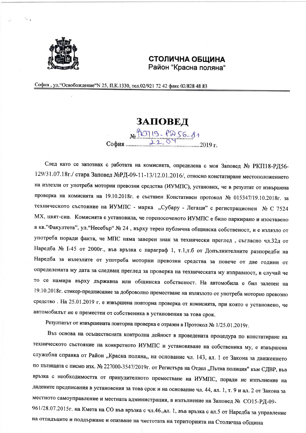

## СТОЛИЧНА ОБЩИНА Район "Красна поляна"

София, ул. "Освобождение" N 25, П.К.1330, тел.02/921 72 42 факс 02/828 48 83

## ЗАПОВЕД

No PLAID - PASE 81

След като се запознах с работата на комисията, определена с моя Заповед № РКП18-РД56-129/31.07.18г./ стара Заповед №РД-09-11-13/12.01.2016/, относно констатиране местоположението на излезли от употреба моторни превозни средства (ИУМПС), установих, че в резултат от извършена проверка на комисията на 19.10.2018г. е съставен Констативен протокол № 015347/19.10.2018г. за техническото състояние на ИУМПС - марка "Субару - Легаци" с регистрационен № С 7524 МХ, цвят-сив. Комисията е установила, че горепосоченото ИУМПС е било паркирано и изоставено в кв. "Факултета", ул. "Несебър" № 24, върху терен публична общинска собственост, и е излязло от употреба поради факта, че МПС няма заверен знак за технически преглед, съгласно чл.32д от Наредба № 1-45 от 2000г., във връзка с параграф 1, т.1,т.б от Допълнителните разпоредби на Наредба за излезлите от употреба моторни превозни средства за повече от две години от определената му дата за следващ преглед за проверка на техническата му изправност, в случай че то се намира върху държавна или общинска собственост. На автомобила е бил залепен на 19.10.2018г. стикер-предписание за доброволно преместване на излязлото от употреба моторно превозно средство. На 25.01.2019 г. е извършена повторна проверка от комисията, при която е установено, че автомобилът не е преместен от собственика в установения за това срок.

Резултатът от извършената повторна проверка е отразен в Протокол № 1/25.01.2019г.

Въз основа на осъществената контролна дейност в проведената процедура по констатиране на техническото състояние на конкретното ИУМПС и установяване на собственика му, е извършена служебна справка от Район "Красна поляна" на основание чл. 143, ал. 1 от Закона за движението по пътищата с писмо изх. № 227000-3547/2019г. от Регистъра на Отдел "Пътна полиция" към СДВР, във връзка с необходимостта от принудителното преместване на ИУМПС, поради не изпълнение на дадените предписания в установения за това срок и на основание чл. 44, ал. 1, т. 9 и ал. 2 от Закона за местното самоуправление и местната администрация, в изпълнение на Заповед № СО15-РД-09-961/28.07.2015г. на Кмета на СО във връзка с чл.46.,ал. 1, във връзка с ал.5 от Наредба за управление на отпадъците и поддържане и опазване на чистотата на територията на Столична община